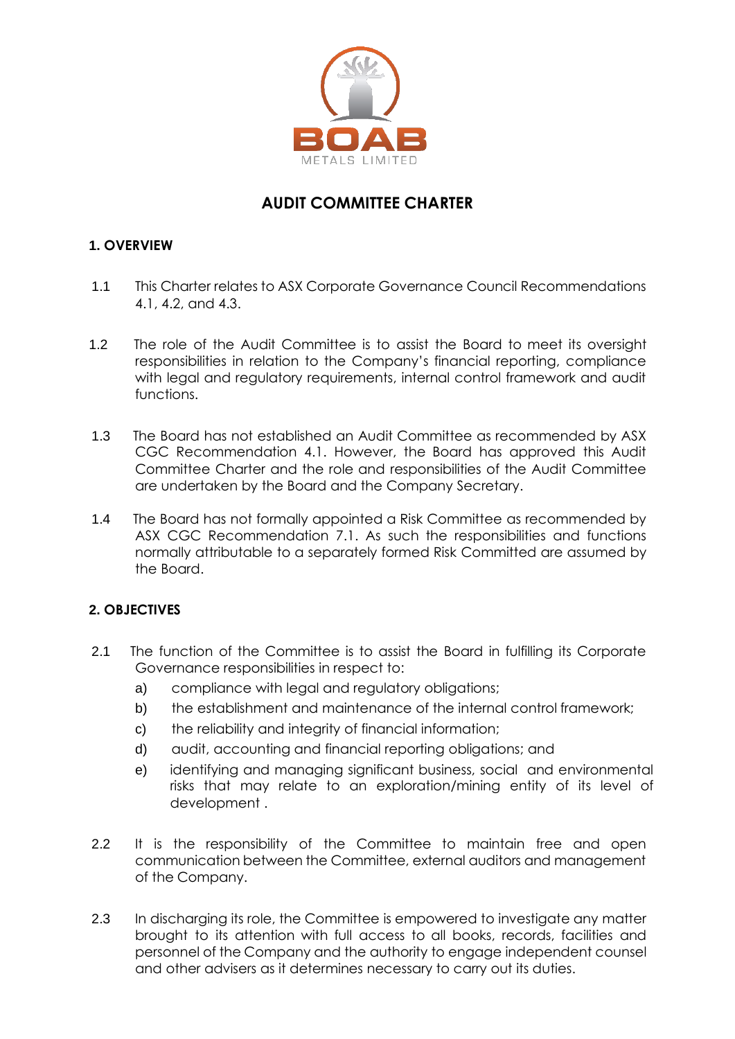

# **AUDIT COMMITTEE CHARTER**

## **1. OVERVIEW**

- 1.1 This Charter relates to ASX Corporate Governance Council Recommendations 4.1, 4.2, and 4.3.
- 1.2 The role of the Audit Committee is to assist the Board to meet its oversight responsibilities in relation to the Company's financial reporting, compliance with legal and regulatory requirements, internal control framework and audit functions.
- 1.3 The Board has not established an Audit Committee as recommended by ASX CGC Recommendation 4.1. However, the Board has approved this Audit Committee Charter and the role and responsibilities of the Audit Committee are undertaken by the Board and the Company Secretary.
- 1.4 The Board has not formally appointed a Risk Committee as recommended by ASX CGC Recommendation 7.1. As such the responsibilities and functions normally attributable to a separately formed Risk Committed are assumed by the Board.

# **2. OBJECTIVES**

- 2.1 The function of the Committee is to assist the Board in fulfilling its Corporate Governance responsibilities in respect to:
	- a) compliance with legal and regulatory obligations:
	- b) the establishment and maintenance of the internal control framework;
	- c) the reliability and integrity of financial information;
	- d) audit, accounting and financial reporting obligations; and
	- e) identifying and managing significant business, social and environmental risks that may relate to an exploration/mining entity of its level of development .
- 2.2 It is the responsibility of the Committee to maintain free and open communication between the Committee, external auditors and management of the Company.
- 2.3 In discharging its role, the Committee is empowered to investigate any matter brought to its attention with full access to all books, records, facilities and personnel of the Company and the authority to engage independent counsel and other advisers as it determines necessary to carry out its duties.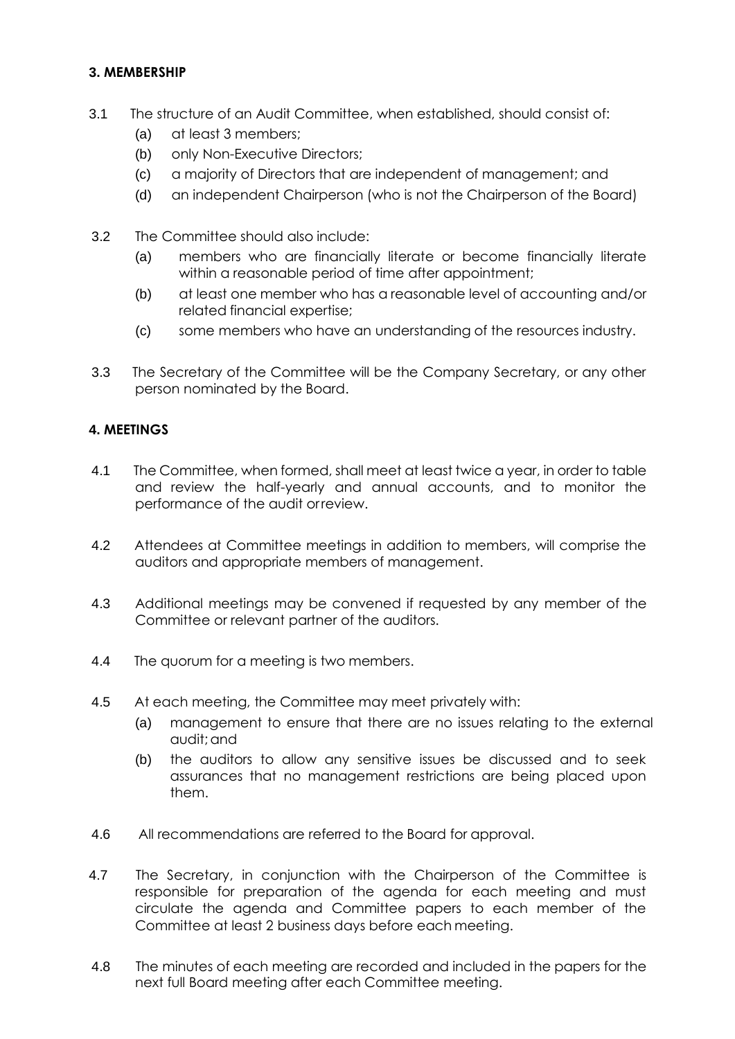## **3. MEMBERSHIP**

- 3.1 The structure of an Audit Committee, when established, should consist of:
	- (a) at least 3 members;
	- (b) only Non-Executive Directors;
	- (c) a majority of Directors that are independent of management; and
	- (d) an independent Chairperson (who is not the Chairperson of the Board)
- 3.2 The Committee should also include:
	- (a) members who are financially literate or become financially literate within a reasonable period of time after appointment;
	- (b) at least one member who has a reasonable level of accounting and/or related financial expertise;
	- (c) some members who have an understanding of the resources industry.
- 3.3 The Secretary of the Committee will be the Company Secretary, or any other person nominated by the Board.

## **4. MEETINGS**

- 4.1 The Committee, when formed, shall meet at least twice a year, in order to table and review the half-yearly and annual accounts, and to monitor the performance of the audit orreview.
- 4.2 Attendees at Committee meetings in addition to members, will comprise the auditors and appropriate members of management.
- 4.3 Additional meetings may be convened if requested by any member of the Committee or relevant partner of the auditors.
- 4.4 The quorum for a meeting is two members.
- 4.5 At each meeting, the Committee may meet privately with:
	- (a) management to ensure that there are no issues relating to the external audit;and
	- (b) the auditors to allow any sensitive issues be discussed and to seek assurances that no management restrictions are being placed upon them.
- 4.6 All recommendations are referred to the Board for approval.
- 4.7 The Secretary, in conjunction with the Chairperson of the Committee is responsible for preparation of the agenda for each meeting and must circulate the agenda and Committee papers to each member of the Committee at least 2 business days before each meeting.
- 4.8 The minutes of each meeting are recorded and included in the papers for the next full Board meeting after each Committee meeting.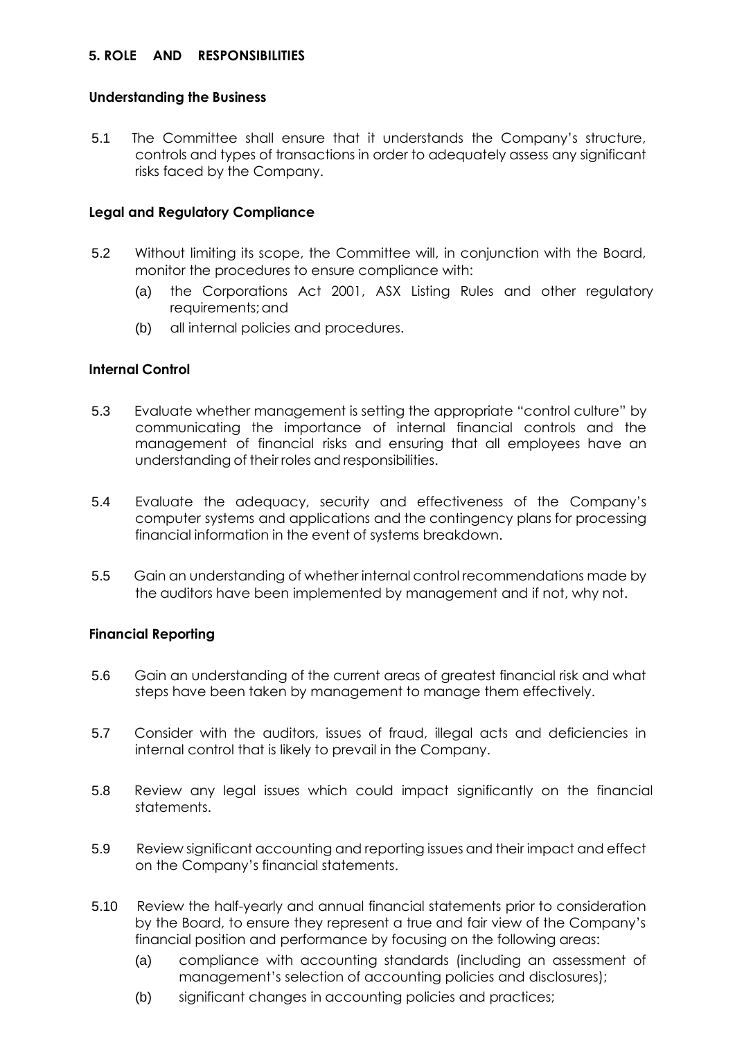#### **5. ROLE AND RESPONSIBILITIES**

#### **Understanding the Business**

5.1 The Committee shall ensure that it understands the Company's structure, controls and types of transactions in order to adequately assess any significant risks faced by the Company.

### **Legal and Regulatory Compliance**

- 5.2 Without limiting its scope, the Committee will, in conjunction with the Board, monitor the procedures to ensure compliance with:
	- (a) the Corporations Act 2001, ASX Listing Rules and other regulatory requirements; and
	- (b) all internal policies and procedures.

#### **Internal Control**

- 5.3 Evaluate whether management is setting the appropriate "control culture" by communicating the importance of internal financial controls and the management of financial risks and ensuring that all employees have an understanding of their roles and responsibilities.
- 5.4 Evaluate the adequacy, security and effectiveness of the Company's computer systems and applications and the contingency plans for processing financial information in the event of systems breakdown.
- 5.5 Gain an understanding of whether internal control recommendations made by the auditors have been implemented by management and if not, why not.

#### **Financial Reporting**

- 5.6 Gain an understanding of the current areas of greatest financial risk and what steps have been taken by management to manage them effectively.
- 5.7 Consider with the auditors, issues of fraud, illegal acts and deficiencies in internal control that is likely to prevail in the Company.
- 5.8 Review any legal issues which could impact significantly on the financial statements.
- 5.9 Review significant accounting and reporting issues and their impact and effect on the Company's financial statements.
- 5.10 Review the half-yearly and annual financial statements prior to consideration by the Board, to ensure they represent a true and fair view of the Company's financial position and performance by focusing on the following areas:
	- (a) compliance with accounting standards (including an assessment of management's selection of accounting policies and disclosures);
	- (b) significant changes in accounting policies and practices;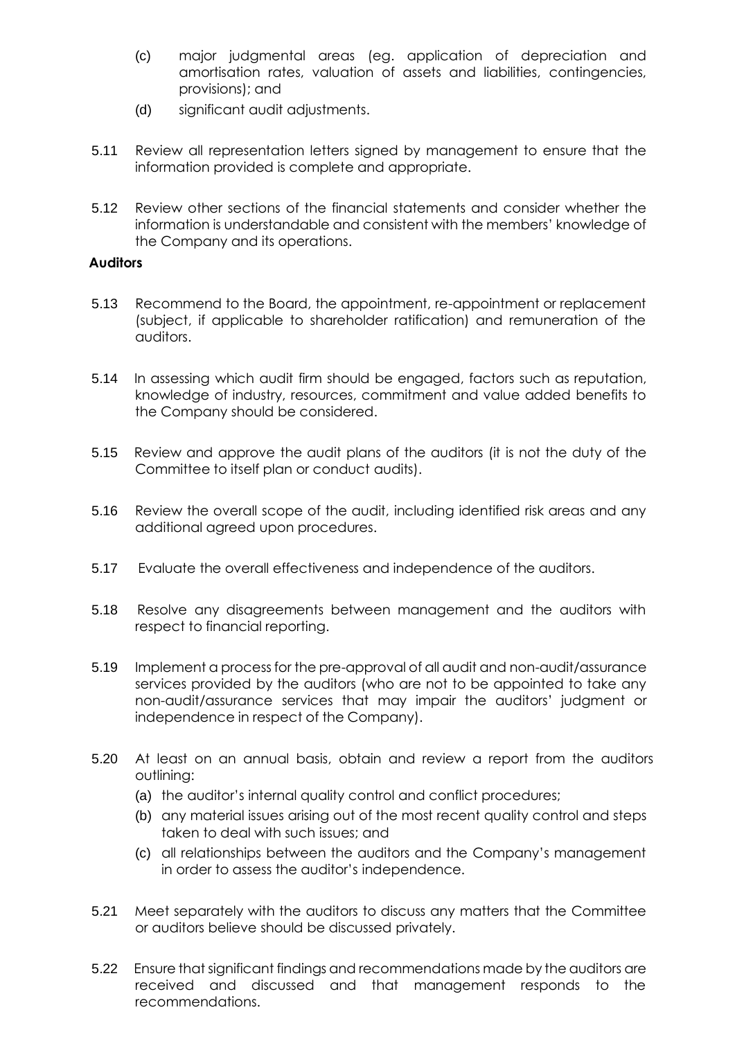- (c) major judgmental areas (eg. application of depreciation and amortisation rates, valuation of assets and liabilities, contingencies, provisions); and
- (d) significant audit adjustments.
- 5.11 Review all representation letters signed by management to ensure that the information provided is complete and appropriate.
- 5.12 Review other sections of the financial statements and consider whether the information is understandable and consistent with the members' knowledge of the Company and its operations.

#### **Auditors**

- 5.13 Recommend to the Board, the appointment, re-appointment or replacement (subject, if applicable to shareholder ratification) and remuneration of the auditors.
- 5.14 In assessing which audit firm should be engaged, factors such as reputation, knowledge of industry, resources, commitment and value added benefits to the Company should be considered.
- 5.15 Review and approve the audit plans of the auditors (it is not the duty of the Committee to itself plan or conduct audits).
- 5.16 Review the overall scope of the audit, including identified risk areas and any additional agreed upon procedures.
- 5.17 Evaluate the overall effectiveness and independence of the auditors.
- 5.18 Resolve any disagreements between management and the auditors with respect to financial reporting.
- 5.19 Implement a process for the pre-approval of all audit and non-audit/assurance services provided by the auditors (who are not to be appointed to take any non-audit/assurance services that may impair the auditors' judgment or independence in respect of the Company).
- 5.20 At least on an annual basis, obtain and review a report from the auditors outlining:
	- (a) the auditor's internal quality control and conflict procedures;
	- (b) any material issues arising out of the most recent quality control and steps taken to deal with such issues; and
	- (c) all relationships between the auditors and the Company's management in order to assess the auditor's independence.
- 5.21 Meet separately with the auditors to discuss any matters that the Committee or auditors believe should be discussed privately.
- 5.22 Ensure that significant findings and recommendations made by the auditors are received and discussed and that management responds to the recommendations.